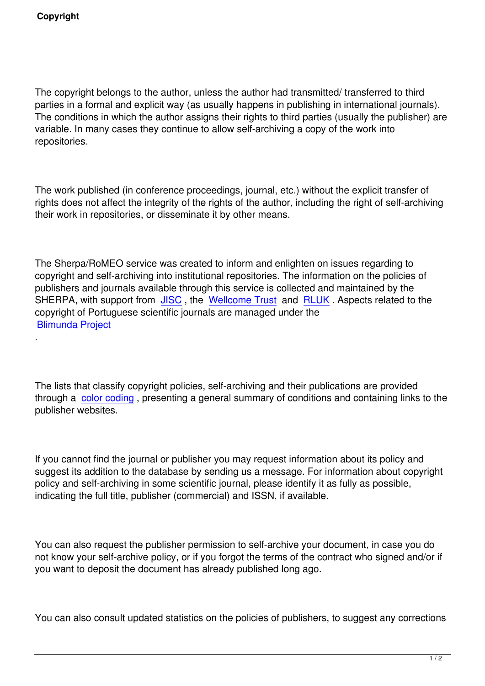The copyright belongs to the author, unless the author had transmitted/ transferred to third parties in a formal and explicit way (as usually happens in publishing in international journals). The conditions in which the author assigns their rights to third parties (usually the publisher) are variable. In many cases they continue to allow self-archiving a copy of the work into repositories.

The work published (in conference proceedings, journal, etc.) without the explicit transfer of rights does not affect the integrity of the rights of the author, including the right of self-archiving their work in repositories, or disseminate it by other means.

The Sherpa/RoMEO service was created to inform and enlighten on issues regarding to copyright and self-archiving into institutional repositories. The information on the policies of publishers and journals available through this service is collected and maintained by the SHERPA, with support from **JISC**, the Wellcome Trust and RLUK. Aspects related to the copyright of Portuguese scientific journals are managed under the Blimunda Project

.

The lists that classify copyright policies, self-archiving and their publications are provided through a color coding, presenting a general summary of conditions and containing links to the publisher websites.

If you cannot find the journal or publisher you may request information about its policy and suggest its addition to the database by sending us a message. For information about copyright policy and self-archiving in some scientific journal, please identify it as fully as possible, indicating the full title, publisher (commercial) and ISSN, if available.

You can also request the publisher permission to self-archive your document, in case you do not know your self-archive policy, or if you forgot the terms of the contract who signed and/or if you want to deposit the document has already published long ago.

You can also consult updated statistics on the policies of publishers, to suggest any corrections